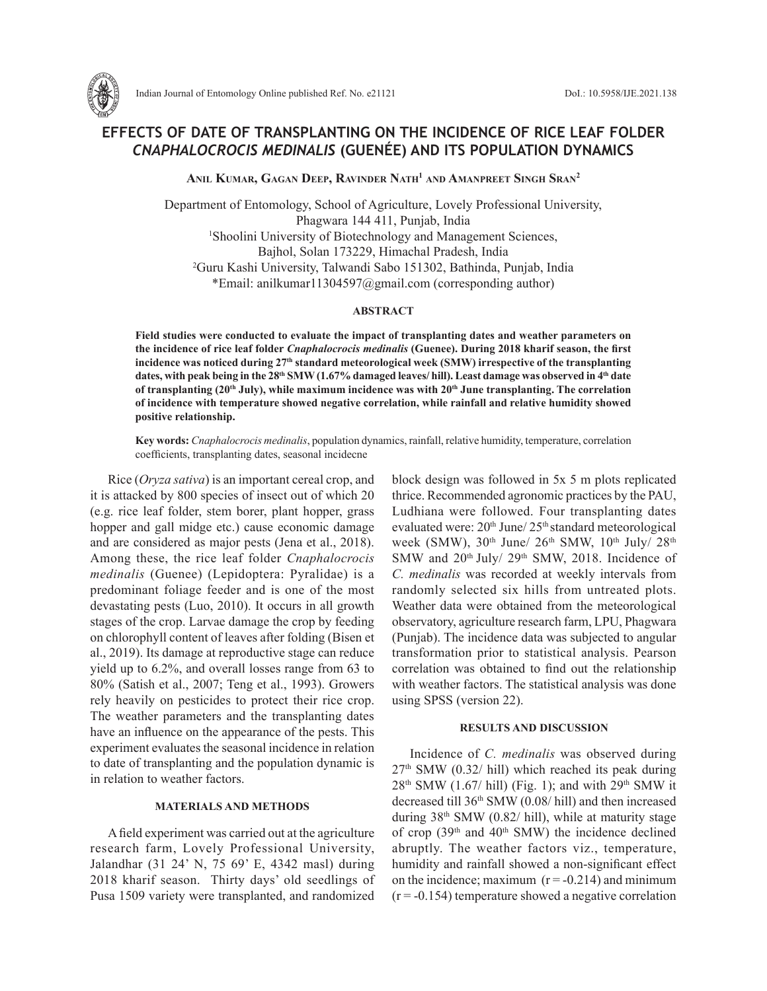

# **EFFECTS OF DATE OF TRANSPLANTING ON THE INCIDENCE OF RICE LEAF FOLDER**  *CNAPHALOCROCIS MEDINALIS* **(GUENÉE) AND ITS POPULATION DYNAMICS**

**Anil Kumar, Gagan Deep, Ravinder Nath1 and Amanpreet Singh Sran2**

Department of Entomology, School of Agriculture, Lovely Professional University, Phagwara 144 411, Punjab, India 1 Shoolini University of Biotechnology and Management Sciences, Bajhol, Solan 173229, Himachal Pradesh, India 2 Guru Kashi University, Talwandi Sabo 151302, Bathinda, Punjab, India \*Email: anilkumar11304597@gmail.com (corresponding author)

### **ABSTRACT**

**Field studies were conducted to evaluate the impact of transplanting dates and weather parameters on the incidence of rice leaf folder** *Cnaphalocrocis medinalis* **(Guenee). During 2018 kharif season, the first incidence was noticed during 27th standard meteorological week (SMW) irrespective of the transplanting**  dates, with peak being in the 28<sup>th</sup> SMW (1.67% damaged leaves/ hill). Least damage was observed in 4<sup>th</sup> date of transplanting (20<sup>th</sup> July), while maximum incidence was with 20<sup>th</sup> June transplanting. The correlation **of incidence with temperature showed negative correlation, while rainfall and relative humidity showed positive relationship.** 

**Key words:** *Cnaphalocrocis medinalis*, population dynamics, rainfall, relative humidity, temperature, correlation coefficients, transplanting dates, seasonal incidecne

Rice (*Oryza sativa*) is an important cereal crop, and it is attacked by 800 species of insect out of which 20 (e.g. rice leaf folder, stem borer, plant hopper, grass hopper and gall midge etc.) cause economic damage and are considered as major pests (Jena et al., 2018). Among these, the rice leaf folder *Cnaphalocrocis medinalis* (Guenee) (Lepidoptera: Pyralidae) is a predominant foliage feeder and is one of the most devastating pests (Luo, 2010). It occurs in all growth stages of the crop. Larvae damage the crop by feeding on chlorophyll content of leaves after folding (Bisen et al., 2019). Its damage at reproductive stage can reduce yield up to 6.2%, and overall losses range from 63 to 80% (Satish et al., 2007; Teng et al., 1993). Growers rely heavily on pesticides to protect their rice crop. The weather parameters and the transplanting dates have an influence on the appearance of the pests. This experiment evaluates the seasonal incidence in relation to date of transplanting and the population dynamic is in relation to weather factors.

## **MATERIALS AND METHODS**

A field experiment was carried out at the agriculture research farm, Lovely Professional University, Jalandhar (31 24' N, 75 69' E, 4342 masl) during 2018 kharif season. Thirty days' old seedlings of Pusa 1509 variety were transplanted, and randomized block design was followed in 5x 5 m plots replicated thrice. Recommended agronomic practices by the PAU, Ludhiana were followed. Four transplanting dates evaluated were:  $20<sup>th</sup>$  June/  $25<sup>th</sup>$  standard meteorological week (SMW),  $30<sup>th</sup>$  June/  $26<sup>th</sup>$  SMW,  $10<sup>th</sup>$  July/  $28<sup>th</sup>$ SMW and 20<sup>th</sup> July/ 29<sup>th</sup> SMW, 2018. Incidence of *C. medinalis* was recorded at weekly intervals from randomly selected six hills from untreated plots. Weather data were obtained from the meteorological observatory, agriculture research farm, LPU, Phagwara (Punjab). The incidence data was subjected to angular transformation prior to statistical analysis. Pearson correlation was obtained to find out the relationship with weather factors. The statistical analysis was done using SPSS (version 22).

#### **RESULTS AND DISCUSSION**

Incidence of *C. medinalis* was observed during  $27<sup>th</sup>$  SMW (0.32/ hill) which reached its peak during  $28<sup>th</sup>$  SMW (1.67/ hill) (Fig. 1); and with  $29<sup>th</sup>$  SMW it decreased till 36th SMW (0.08/ hill) and then increased during  $38<sup>th</sup>$  SMW (0.82/ hill), while at maturity stage of crop  $(39<sup>th</sup>$  and  $40<sup>th</sup>$  SMW) the incidence declined abruptly. The weather factors viz., temperature, humidity and rainfall showed a non-significant effect on the incidence; maximum  $(r = -0.214)$  and minimum  $(r = -0.154)$  temperature showed a negative correlation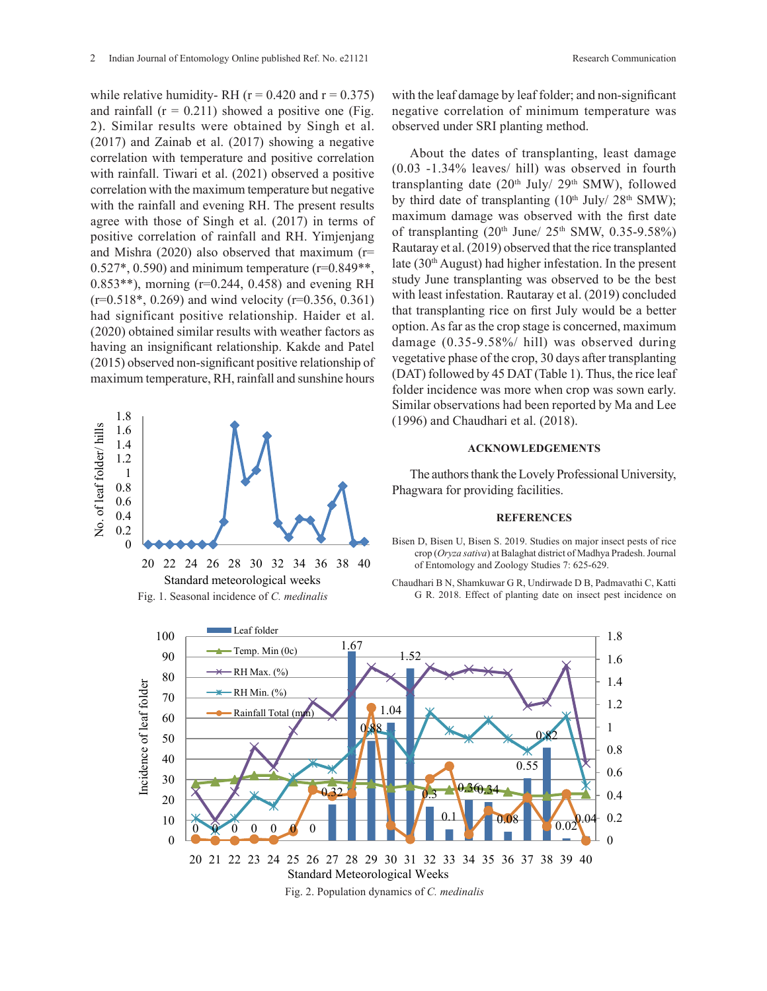while relative humidity- RH ( $r = 0.420$  and  $r = 0.375$ ) with the leaf damage by learnt studies 6: 1405-1407.<br>Studies 6: 1405-1407. 2). Similar results were obtained by Singh et al. observed under SRI planti  $(2017)$  and Zainab et al.  $(2017)$  showing a negative  $\overline{\text{co}}$ with rainfall. Tiwari et al. (2021) observed a positive  $(0.03 - 1.34\%$  leaves/hill correlation with the maximum temperature but negative  $\frac{1}{2}$  transplanting date (20<sup>th</sup>) with the rainfall and evening RH. The present results agree with those of Singh et al. (2017) in terms of  $\frac{\text{maximum damage was of}}{\text{of transplanting (20th-1)}}$ positive correlation of rainfall and RH. Yimjenjang of transplanting  $(20^{\circ}$  Jun and Mishra (2020) also observed that maximum ( $r=$  0.523 $\pm$  0.599) and  $\pm$  1248. 0.527\*, 0.590) and minimum temperature (r=0.849\*\*, and rice (30° August) nad right<br>0.952\*\*), morning (r=0.244, 0.459) and avaning pH  $(1, 0.518^*, 0.269)$  and wind velocity (r=0.356, 0.361)  $\frac{1}{2}$  and  $\frac{1}{2}$  and  $\frac{1}{2}$  and  $\frac{1}{2}$  and  $\frac{1}{2}$  ( $\frac{1}{2}$  on  $\frac{1}{2}$  that transplanting rice on  $\frac{1}{2}$  $(2020)$  obtained similar results with weather factors as option. As far as the crop s having an insignificant relationship. Kakde and Patel <sup>dama</sup> (2015) observed non-significant positive relationship of  $\frac{1}{2}$ maximum temperature, RH, rainfall and sunshine hours  $(DAI)$  IO and rainfall  $(r = 0.211)$  showed a positive one (Fig. correlation with temperature and positive correlation 0.853\*\*), morning (r=0.244, 0.458) and evening RH



with the leaf damage by leaf folder; and non-significant negative correlation of minimum temperature was observed under SRI planting method.

About the dates of transplanting, least damage (0.03 -1.34% leaves/ hill) was observed in fourth transplanting date  $(20<sup>th</sup>$  July/  $29<sup>th</sup>$  SMW), followed by third date of transplanting  $(10<sup>th</sup>$  July/  $28<sup>th</sup>$  SMW); maximum damage was observed with the first date of transplanting  $(20<sup>th</sup>$  June/  $25<sup>th</sup>$  SMW,  $0.35-9.58\%)$ Rautaray et al. (2019) observed that the rice transplanted late (30th August) had higher infestation. In the present study June transplanting was observed to be the best with least infestation. Rautaray et al. (2019) concluded that transplanting rice on first July would be a better option. As far as the crop stage is concerned, maximum damage (0.35-9.58%/ hill) was observed during vegetative phase of the crop, 30 days after transplanting (DAT) followed by 45 DAT (Table 1). Thus, the rice leaf folder incidence was more when crop was sown early. Similar observations had been reported by Ma and Lee (1996) and Chaudhari et al. (2018).

#### **ACKNOWLEDGEMENTS**

#### **REFERENCES**

- $D_{\text{DSC}}$ Bisen D, Bisen U, Bisen S. 2019. Studies on major insect pests of rice (±) 0.05% (±) 0.05% (±) 0.05% crop (*Oryza sativa*) at Balaghat district of Madhya Pradesh. Journal 32 34 36 38 40 of Entomology and Zoology Studies 7: 625-629.
	- Chaudhari B N, Shamkuwar G R, Undirwade D B, Padmavathi C, Katti G R. 2018. Effect of planting date on insect pest incidence on